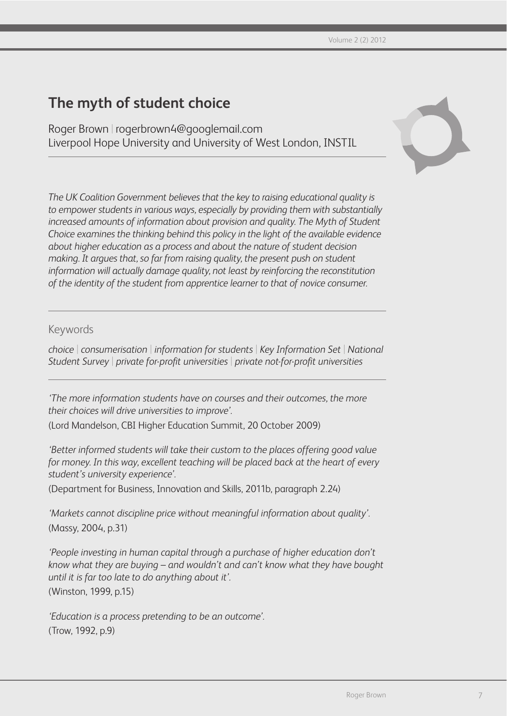# **The myth of student choice**

Roger Brown | rogerbrown4@googlemail.com Liverpool Hope University and University of West London, INSTIL



*The UK Coalition Government believes that the key to raising educational quality is to empower students in various ways, especially by providing them with substantially increased amounts of information about provision and quality. The Myth of Student Choice examines the thinking behind this policy in the light of the available evidence about higher education as a process and about the nature of student decision making. It argues that, so far from raising quality, the present push on student information will actually damage quality, not least by reinforcing the reconstitution of the identity of the student from apprentice learner to that of novice consumer.*

## Keywords

*choice* | *consumerisation* | *information for students* | *Key Information Set* | *National Student Survey* | *private for-profit universities* | *private not-for-profit universities*

*'The more information students have on courses and their outcomes, the more their choices will drive universities to improve'.*

(Lord Mandelson, CBI Higher Education Summit, 20 October 2009)

*'Better informed students will take their custom to the places offering good value for money. In this way, excellent teaching will be placed back at the heart of every student's university experience'.* 

(Department for Business, Innovation and Skills, 2011b, paragraph 2.24)

*'Markets cannot discipline price without meaningful information about quality'.* (Massy, 2004, p.31)

*'People investing in human capital through a purchase of higher education don't know what they are buying – and wouldn't and can't know what they have bought until it is far too late to do anything about it'.* (Winston, 1999, p.15)

*'Education is a process pretending to be an outcome'.* (Trow, 1992, p.9)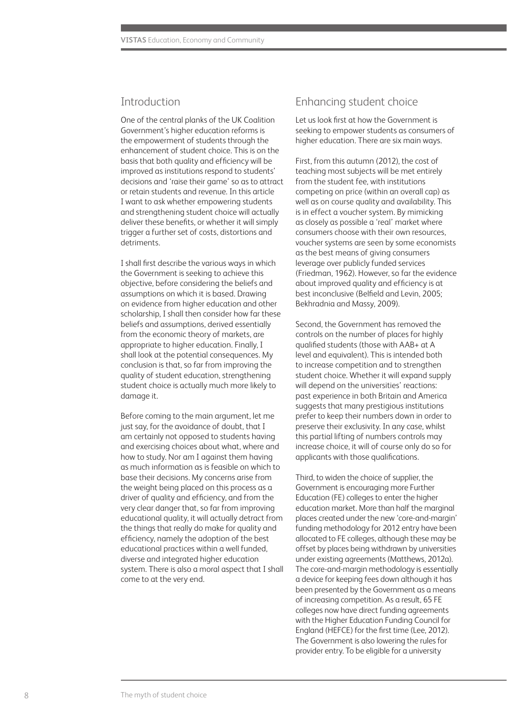### Introduction

One of the central planks of the UK Coalition Government's higher education reforms is the empowerment of students through the enhancement of student choice. This is on the basis that both quality and efficiency will be improved as institutions respond to students' decisions and 'raise their game' so as to attract or retain students and revenue. In this article I want to ask whether empowering students and strengthening student choice will actually deliver these benefits, or whether it will simply trigger a further set of costs, distortions and detriments.

I shall first describe the various ways in which the Government is seeking to achieve this objective, before considering the beliefs and assumptions on which it is based. Drawing on evidence from higher education and other scholarship, I shall then consider how far these beliefs and assumptions, derived essentially from the economic theory of markets, are appropriate to higher education. Finally, I shall look at the potential consequences. My conclusion is that, so far from improving the quality of student education, strengthening student choice is actually much more likely to damage it.

Before coming to the main argument, let me just say, for the avoidance of doubt, that I am certainly not opposed to students having and exercising choices about what, where and how to study. Nor am I against them having as much information as is feasible on which to base their decisions. My concerns arise from the weight being placed on this process as a driver of quality and efficiency, and from the very clear danger that, so far from improving educational quality, it will actually detract from the things that really do make for quality and efficiency, namely the adoption of the best educational practices within a well funded, diverse and integrated higher education system. There is also a moral aspect that I shall come to at the very end.

#### Enhancing student choice

Let us look first at how the Government is seeking to empower students as consumers of higher education. There are six main ways.

First, from this autumn (2012), the cost of teaching most subjects will be met entirely from the student fee, with institutions competing on price (within an overall cap) as well as on course quality and availability. This is in effect a voucher system. By mimicking as closely as possible a 'real' market where consumers choose with their own resources, voucher systems are seen by some economists as the best means of giving consumers leverage over publicly funded services (Friedman, 1962). However, so far the evidence about improved quality and efficiency is at best inconclusive (Belfield and Levin, 2005; Bekhradnia and Massy, 2009).

Second, the Government has removed the controls on the number of places for highly qualified students (those with AAB+ at A level and equivalent). This is intended both to increase competition and to strengthen student choice. Whether it will expand supply will depend on the universities' reactions: past experience in both Britain and America suggests that many prestigious institutions prefer to keep their numbers down in order to preserve their exclusivity. In any case, whilst this partial lifting of numbers controls may increase choice, it will of course only do so for applicants with those qualifications.

Third, to widen the choice of supplier, the Government is encouraging more Further Education (FE) colleges to enter the higher education market. More than half the marginal places created under the new 'core-and-margin' funding methodology for 2012 entry have been allocated to FE colleges, although these may be offset by places being withdrawn by universities under existing agreements (Matthews, 2012a). The core-and-margin methodology is essentially a device for keeping fees down although it has been presented by the Government as a means of increasing competition. As a result, 65 FE colleges now have direct funding agreements with the Higher Education Funding Council for England (HEFCE) for the first time (Lee, 2012). The Government is also lowering the rules for provider entry. To be eligible for a university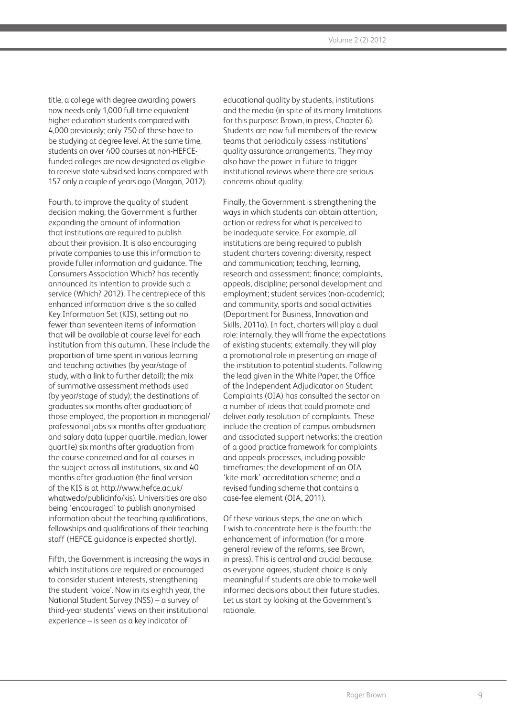title, a college with degree awarding powers now needs only 1,000 full-time equivalent higher education students compared with 4,000 previously; only 750 of these have to be studying at degree level. At the same time, students on over 400 courses at non-HEFCEfunded colleges are now designated as eligible to receive state subsidised loans compared with 157 only a couple of years ago (Morgan, 2012).

Fourth, to improve the quality of student decision making, the Government is further expanding the amount of information that institutions are required to publish about their provision. It is also encouraging private companies to use this information to provide fuller information and guidance. The Consumers Association Which? has recently announced its intention to provide such a service (Which? 2012). The centrepiece of this enhanced information drive is the so called Key Information Set (KIS), setting out no fewer than seventeen items of information that will be available at course level for each institution from this autumn. These include the proportion of time spent in various learning and teaching activities (by year/stage of study, with a link to further detail); the mix of summative assessment methods used (by year/stage of study); the destinations of graduates six months after graduation; of those employed, the proportion in managerial/ professional jobs six months after graduation; and salary data (upper quartile, median, lower quartile) six months after graduation from the course concerned and for all courses in the subject across all institutions, six and 40 months after graduation (the final version of the KIS is at http://www.hefce.ac.uk/ whatwedo/publicinfo/kis). Universities are also being 'encouraged' to publish anonymised information about the teaching qualifications, fellowships and qualifications of their teaching staff (HEFCE guidance is expected shortly).

Fifth, the Government is increasing the ways in which institutions are required or encouraged to consider student interests, strengthening the student 'voice'. Now in its eighth year, the National Student Survey (NSS) – a survey of third-year students' views on their institutional experience – is seen as a key indicator of

educational quality by students, institutions and the media (in spite of its many limitations for this purpose: Brown, in press, Chapter 6). Students are now full members of the review teams that periodically assess institutions' quality assurance arrangements. They may also have the power in future to trigger institutional reviews where there are serious concerns about quality.

Finally, the Government is strengthening the ways in which students can obtain attention, action or redress for what is perceived to be inadequate service. For example, all institutions are being required to publish student charters covering: diversity, respect and communication; teaching, learning, research and assessment; finance; complaints, appeals, discipline; personal development and employment; student services (non-academic); and community, sports and social activities (Department for Business, Innovation and Skills, 2011a). In fact, charters will play a dual role: internally, they will frame the expectations of existing students; externally, they will play a promotional role in presenting an image of the institution to potential students. Following the lead given in the White Paper, the Office of the Independent Adjudicator on Student Complaints (OIA) has consulted the sector on a number of ideas that could promote and deliver early resolution of complaints. These include the creation of campus ombudsmen and associated support networks; the creation of a good practice framework for complaints and appeals processes, including possible timeframes; the development of an OIA 'kite-mark' accreditation scheme; and a revised funding scheme that contains a case-fee element (OIA, 2011).

Of these various steps, the one on which I wish to concentrate here is the fourth: the enhancement of information (for a more general review of the reforms, see Brown, in press). This is central and crucial because, as everyone agrees, student choice is only meaningful if students are able to make well informed decisions about their future studies. Let us start by looking at the Government's rationale.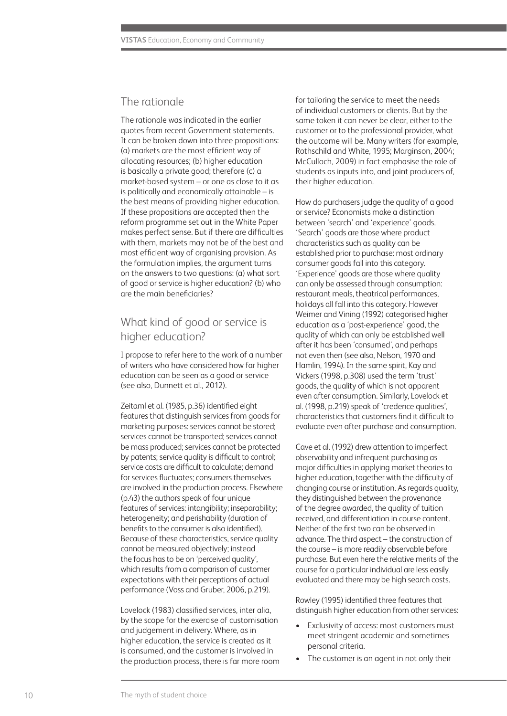#### The rationale

The rationale was indicated in the earlier quotes from recent Government statements. It can be broken down into three propositions: (a) markets are the most efficient way of allocating resources; (b) higher education is basically a private good; therefore (c) a market-based system – or one as close to it as is politically and economically attainable – is the best means of providing higher education. If these propositions are accepted then the reform programme set out in the White Paper makes perfect sense. But if there are difficulties with them, markets may not be of the best and most efficient way of organising provision. As the formulation implies, the argument turns on the answers to two questions: (a) what sort of good or service is higher education? (b) who are the main beneficiaries?

# What kind of good or service is higher education?

I propose to refer here to the work of a number of writers who have considered how far higher education can be seen as a good or service (see also, Dunnett et al., 2012).

Zeitaml et al. (1985, p.36) identified eight features that distinguish services from goods for marketing purposes: services cannot be stored; services cannot be transported; services cannot be mass produced; services cannot be protected by patents; service quality is difficult to control; service costs are difficult to calculate; demand for services fluctuates; consumers themselves are involved in the production process. Elsewhere (p.43) the authors speak of four unique features of services: intangibility; inseparability; heterogeneity; and perishability (duration of benefits to the consumer is also identified). Because of these characteristics, service quality cannot be measured objectively; instead the focus has to be on 'perceived quality', which results from a comparison of customer expectations with their perceptions of actual performance (Voss and Gruber, 2006, p.219).

Lovelock (1983) classified services, inter alia, by the scope for the exercise of customisation and judgement in delivery. Where, as in higher education, the service is created as it is consumed, and the customer is involved in the production process, there is far more room for tailoring the service to meet the needs of individual customers or clients. But by the same token it can never be clear, either to the customer or to the professional provider, what the outcome will be. Many writers (for example, Rothschild and White, 1995; Marginson, 2004; McCulloch, 2009) in fact emphasise the role of students as inputs into, and joint producers of, their higher education.

How do purchasers judge the quality of a good or service? Economists make a distinction between 'search' and 'experience' goods. 'Search' goods are those where product characteristics such as quality can be established prior to purchase: most ordinary consumer goods fall into this category. 'Experience' goods are those where quality can only be assessed through consumption: restaurant meals, theatrical performances, holidays all fall into this category. However Weimer and Vining (1992) categorised higher education as a 'post-experience' good, the quality of which can only be established well after it has been 'consumed', and perhaps not even then (see also, Nelson, 1970 and Hamlin, 1994). In the same spirit, Kay and Vickers (1998, p.308) used the term 'trust' goods, the quality of which is not apparent even after consumption. Similarly, Lovelock et al. (1998, p.219) speak of 'credence qualities', characteristics that customers find it difficult to evaluate even after purchase and consumption.

Cave et al. (1992) drew attention to imperfect observability and infrequent purchasing as major difficulties in applying market theories to higher education, together with the difficulty of changing course or institution. As regards quality, they distinguished between the provenance of the degree awarded, the quality of tuition received, and differentiation in course content. Neither of the first two can be observed in advance. The third aspect – the construction of the course – is more readily observable before purchase. But even here the relative merits of the course for a particular individual are less easily evaluated and there may be high search costs.

Rowley (1995) identified three features that distinguish higher education from other services:

- Exclusivity of access: most customers must meet stringent academic and sometimes personal criteria.
- The customer is an agent in not only their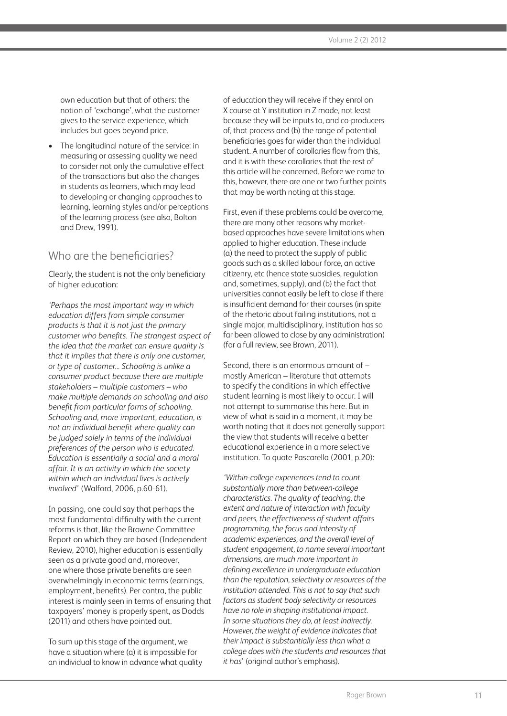own education but that of others: the notion of 'exchange', what the customer gives to the service experience, which includes but goes beyond price.

• The longitudinal nature of the service: in measuring or assessing quality we need to consider not only the cumulative effect of the transactions but also the changes in students as learners, which may lead to developing or changing approaches to learning, learning styles and/or perceptions of the learning process (see also, Bolton and Drew, 1991).

# Who are the beneficiaries?

Clearly, the student is not the only beneficiary of higher education:

*'Perhaps the most important way in which education differs from simple consumer products is that it is not just the primary customer who benefits. The strangest aspect of the idea that the market can ensure quality is that it implies that there is only one customer, or type of customer... Schooling is unlike a consumer product because there are multiple stakeholders – multiple customers – who make multiple demands on schooling and also benefit from particular forms of schooling. Schooling and, more important, education, is not an individual benefit where quality can be judged solely in terms of the individual preferences of the person who is educated. Education is essentially a social and a moral affair. It is an activity in which the society within which an individual lives is actively involved'* (Walford, 2006, p.60-61).

In passing, one could say that perhaps the most fundamental difficulty with the current reforms is that, like the Browne Committee Report on which they are based (Independent Review, 2010), higher education is essentially seen as a private good and, moreover, one where those private benefits are seen overwhelmingly in economic terms (earnings, employment, benefits). Per contra, the public interest is mainly seen in terms of ensuring that taxpayers' money is properly spent, as Dodds (2011) and others have pointed out.

To sum up this stage of the argument, we have a situation where (a) it is impossible for an individual to know in advance what quality of education they will receive if they enrol on X course at Y institution in Z mode, not least because they will be inputs to, and co-producers of, that process and (b) the range of potential beneficiaries goes far wider than the individual student. A number of corollaries flow from this, and it is with these corollaries that the rest of this article will be concerned. Before we come to this, however, there are one or two further points that may be worth noting at this stage.

First, even if these problems could be overcome, there are many other reasons why marketbased approaches have severe limitations when applied to higher education. These include (a) the need to protect the supply of public goods such as a skilled labour force, an active citizenry, etc (hence state subsidies, regulation and, sometimes, supply), and (b) the fact that universities cannot easily be left to close if there is insufficient demand for their courses (in spite of the rhetoric about failing institutions, not a single major, multidisciplinary, institution has so far been allowed to close by any administration) (for a full review, see Brown, 2011).

Second, there is an enormous amount of – mostly American – literature that attempts to specify the conditions in which effective student learning is most likely to occur. I will not attempt to summarise this here. But in view of what is said in a moment, it may be worth noting that it does not generally support the view that students will receive a better educational experience in a more selective institution. To quote Pascarella (2001, p.20):

*'Within-college experiences tend to count substantially more than between-college characteristics. The quality of teaching, the extent and nature of interaction with faculty and peers, the effectiveness of student affairs programming, the focus and intensity of academic experiences, and the overall level of student engagement, to name several important dimensions, are much more important in defining excellence in undergraduate education than the reputation, selectivity or resources of the institution attended. This is not to say that such factors as student body selectivity or resources have no role in shaping institutional impact. In some situations they do, at least indirectly. However, the weight of evidence indicates that their impact is substantially less than what a college does with the students and resources that it has'* (original author's emphasis).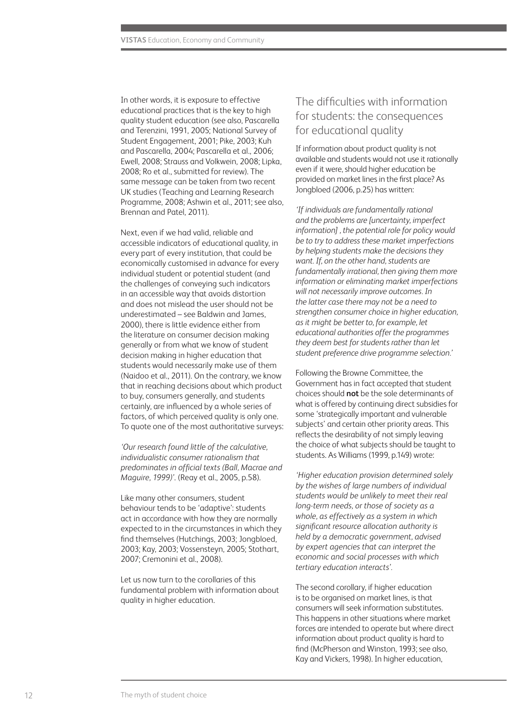In other words, it is exposure to effective educational practices that is the key to high quality student education (see also, Pascarella and Terenzini, 1991, 2005; National Survey of Student Engagement, 2001; Pike, 2003; Kuh and Pascarella, 2004; Pascarella et al., 2006; Ewell, 2008; Strauss and Volkwein, 2008; Lipka, 2008; Ro et al., submitted for review). The same message can be taken from two recent UK studies (Teaching and Learning Research Programme, 2008; Ashwin et al., 2011; see also, Brennan and Patel, 2011).

Next, even if we had valid, reliable and accessible indicators of educational quality, in every part of every institution, that could be economically customised in advance for every individual student or potential student (and the challenges of conveying such indicators in an accessible way that avoids distortion and does not mislead the user should not be underestimated – see Baldwin and James, 2000), there is little evidence either from the literature on consumer decision making generally or from what we know of student decision making in higher education that students would necessarily make use of them (Naidoo et al., 2011). On the contrary, we know that in reaching decisions about which product to buy, consumers generally, and students certainly, are influenced by a whole series of factors, of which perceived quality is only one. To quote one of the most authoritative surveys:

*'Our research found little of the calculative, individualistic consumer rationalism that predominates in official texts (Ball, Macrae and Maguire, 1999)'*. (Reay et al., 2005, p.58).

Like many other consumers, student behaviour tends to be 'adaptive': students act in accordance with how they are normally expected to in the circumstances in which they find themselves (Hutchings, 2003; Jongbloed, 2003; Kay, 2003; Vossensteyn, 2005; Stothart, 2007; Cremonini et al., 2008).

Let us now turn to the corollaries of this fundamental problem with information about quality in higher education.

# The difficulties with information for students: the consequences for educational quality

If information about product quality is not available and students would not use it rationally even if it were, should higher education be provided on market lines in the first place? As Jongbloed (2006, p.25) has written:

*'If individuals are fundamentally rational and the problems are [uncertainty, imperfect information] , the potential role for policy would be to try to address these market imperfections by helping students make the decisions they want. If, on the other hand, students are fundamentally irrational, then giving them more information or eliminating market imperfections will not necessarily improve outcomes. In the latter case there may not be a need to strengthen consumer choice in higher education, as it might be better to, for example, let educational authorities offer the programmes they deem best for students rather than let student preference drive programme selection.'*

Following the Browne Committee, the Government has in fact accepted that student choices should **not** be the sole determinants of what is offered by continuing direct subsidies for some 'strategically important and vulnerable subjects' and certain other priority areas. This reflects the desirability of not simply leaving the choice of what subjects should be taught to students. As Williams (1999, p.149) wrote:

*'Higher education provision determined solely by the wishes of large numbers of individual students would be unlikely to meet their real long-term needs, or those of society as a whole, as effectively as a system in which significant resource allocation authority is held by a democratic government, advised by expert agencies that can interpret the economic and social processes with which tertiary education interacts'.*

The second corollary, if higher education is to be organised on market lines, is that consumers will seek information substitutes. This happens in other situations where market forces are intended to operate but where direct information about product quality is hard to find (McPherson and Winston, 1993; see also, Kay and Vickers, 1998). In higher education,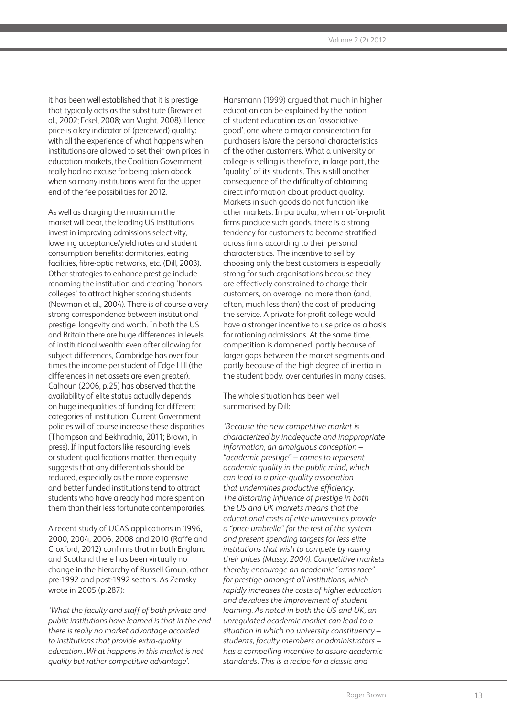it has been well established that it is prestige that typically acts as the substitute (Brewer et al., 2002; Eckel, 2008; van Vught, 2008). Hence price is a key indicator of (perceived) quality: with all the experience of what happens when institutions are allowed to set their own prices in education markets, the Coalition Government really had no excuse for being taken aback when so many institutions went for the upper end of the fee possibilities for 2012.

As well as charging the maximum the market will bear, the leading US institutions invest in improving admissions selectivity, lowering acceptance/yield rates and student consumption benefits: dormitories, eating facilities, fibre-optic networks, etc. (Dill, 2003). Other strategies to enhance prestige include renaming the institution and creating 'honors colleges' to attract higher scoring students (Newman et al., 2004). There is of course a very strong correspondence between institutional prestige, longevity and worth. In both the US and Britain there are huge differences in levels of institutional wealth: even after allowing for subject differences, Cambridge has over four times the income per student of Edge Hill (the differences in net assets are even greater). Calhoun (2006, p.25) has observed that the availability of elite status actually depends on huge inequalities of funding for different categories of institution. Current Government policies will of course increase these disparities (Thompson and Bekhradnia, 2011; Brown, in press). If input factors like resourcing levels or student qualifications matter, then equity suggests that any differentials should be reduced, especially as the more expensive and better funded institutions tend to attract students who have already had more spent on them than their less fortunate contemporaries.

A recent study of UCAS applications in 1996, 2000, 2004, 2006, 2008 and 2010 (Raffe and Croxford, 2012) confirms that in both England and Scotland there has been virtually no change in the hierarchy of Russell Group, other pre-1992 and post-1992 sectors. As Zemsky wrote in 2005 (p.287):

*'What the faculty and staff of both private and public institutions have learned is that in the end there is really no market advantage accorded to institutions that provide extra-quality education...What happens in this market is not quality but rather competitive advantage'.*

Hansmann (1999) argued that much in higher education can be explained by the notion of student education as an 'associative good', one where a major consideration for purchasers is/are the personal characteristics of the other customers. What a university or college is selling is therefore, in large part, the 'quality' of its students. This is still another consequence of the difficulty of obtaining direct information about product quality. Markets in such goods do not function like other markets. In particular, when not-for-profit firms produce such goods, there is a strong tendency for customers to become stratified across firms according to their personal characteristics. The incentive to sell by choosing only the best customers is especially strong for such organisations because they are effectively constrained to charge their customers, on average, no more than (and, often, much less than) the cost of producing the service. A private for-profit college would have a stronger incentive to use price as a basis for rationing admissions. At the same time, competition is dampened, partly because of larger gaps between the market segments and partly because of the high degree of inertia in the student body, over centuries in many cases.

The whole situation has been well summarised by Dill:

*'Because the new competitive market is characterized by inadequate and inappropriate information, an ambiguous conception – "academic prestige" – comes to represent academic quality in the public mind, which can lead to a price-quality association that undermines productive efficiency. The distorting influence of prestige in both the US and UK markets means that the educational costs of elite universities provide a "price umbrella" for the rest of the system and present spending targets for less elite institutions that wish to compete by raising their prices (Massy, 2004). Competitive markets thereby encourage an academic "arms race" for prestige amongst all institutions, which rapidly increases the costs of higher education and devalues the improvement of student learning. As noted in both the US and UK, an unregulated academic market can lead to a situation in which no university constituency – students, faculty members or administrators – has a compelling incentive to assure academic standards. This is a recipe for a classic and*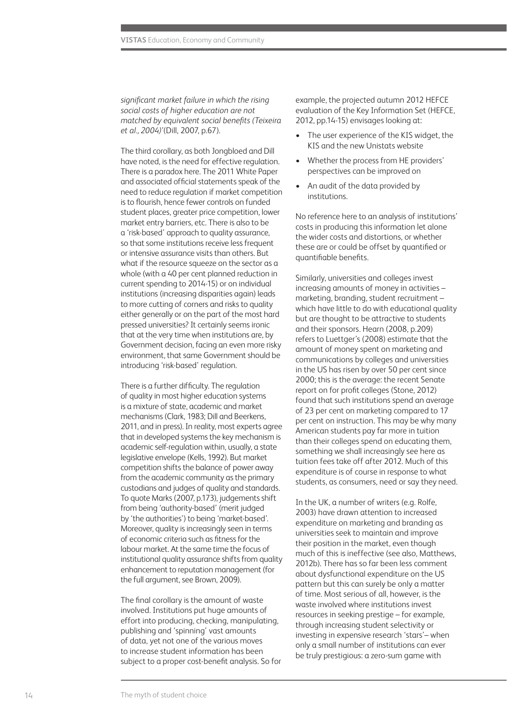*significant market failure in which the rising social costs of higher education are not matched by equivalent social benefits (Teixeira et al., 2004)'*(Dill, 2007, p.67).

The third corollary, as both Jongbloed and Dill have noted, is the need for effective regulation. There is a paradox here. The 2011 White Paper and associated official statements speak of the need to reduce regulation if market competition is to flourish, hence fewer controls on funded student places, greater price competition, lower market entry barriers, etc. There is also to be a 'risk-based' approach to quality assurance, so that some institutions receive less frequent or intensive assurance visits than others. But what if the resource squeeze on the sector as a whole (with a 40 per cent planned reduction in current spending to 2014-15) or on individual institutions (increasing disparities again) leads to more cutting of corners and risks to quality either generally or on the part of the most hard pressed universities? It certainly seems ironic that at the very time when institutions are, by Government decision, facing an even more risky environment, that same Government should be introducing 'risk-based' regulation.

There is a further difficulty. The regulation of quality in most higher education systems is a mixture of state, academic and market mechanisms (Clark, 1983; Dill and Beerkens, 2011, and in press). In reality, most experts agree that in developed systems the key mechanism is academic self-regulation within, usually, a state legislative envelope (Kells, 1992). But market competition shifts the balance of power away from the academic community as the primary custodians and judges of quality and standards. To quote Marks (2007, p.173), judgements shift from being 'authority-based' (merit judged by 'the authorities') to being 'market-based'. Moreover, quality is increasingly seen in terms of economic criteria such as fitness for the labour market. At the same time the focus of institutional quality assurance shifts from quality enhancement to reputation management (for the full argument, see Brown, 2009).

The final corollary is the amount of waste involved. Institutions put huge amounts of effort into producing, checking, manipulating, publishing and 'spinning' vast amounts of data, yet not one of the various moves to increase student information has been subject to a proper cost-benefit analysis. So for example, the projected autumn 2012 HEFCE evaluation of the Key Information Set (HEFCE, 2012, pp.14-15) envisages looking at:

- The user experience of the KIS widget, the KIS and the new Unistats website
- Whether the process from HE providers' perspectives can be improved on
- An audit of the data provided by institutions.

No reference here to an analysis of institutions' costs in producing this information let alone the wider costs and distortions, or whether these are or could be offset by quantified or quantifiable benefits.

Similarly, universities and colleges invest increasing amounts of money in activities – marketing, branding, student recruitment – which have little to do with educational quality but are thought to be attractive to students and their sponsors. Hearn (2008, p.209) refers to Luettger's (2008) estimate that the amount of money spent on marketing and communications by colleges and universities in the US has risen by over 50 per cent since 2000; this is the average: the recent Senate report on for profit colleges (Stone, 2012) found that such institutions spend an average of 23 per cent on marketing compared to 17 per cent on instruction. This may be why many American students pay far more in tuition than their colleges spend on educating them, something we shall increasingly see here as tuition fees take off after 2012. Much of this expenditure is of course in response to what students, as consumers, need or say they need.

In the UK, a number of writers (e.g. Rolfe, 2003) have drawn attention to increased expenditure on marketing and branding as universities seek to maintain and improve their position in the market, even though much of this is ineffective (see also, Matthews, 2012b). There has so far been less comment about dysfunctional expenditure on the US pattern but this can surely be only a matter of time. Most serious of all, however, is the waste involved where institutions invest resources in seeking prestige – for example, through increasing student selectivity or investing in expensive research 'stars'– when only a small number of institutions can ever be truly prestigious: a zero-sum game with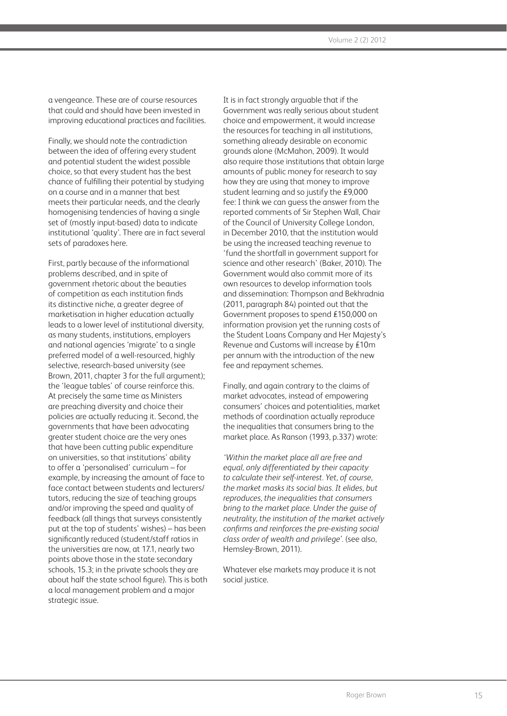a vengeance. These are of course resources that could and should have been invested in improving educational practices and facilities.

Finally, we should note the contradiction between the idea of offering every student and potential student the widest possible choice, so that every student has the best chance of fulfilling their potential by studying on a course and in a manner that best meets their particular needs, and the clearly homogenising tendencies of having a single set of (mostly input-based) data to indicate institutional 'quality'. There are in fact several sets of paradoxes here.

First, partly because of the informational problems described, and in spite of government rhetoric about the beauties of competition as each institution finds its distinctive niche, a greater degree of marketisation in higher education actually leads to a lower level of institutional diversity, as many students, institutions, employers and national agencies 'migrate' to a single preferred model of a well-resourced, highly selective, research-based university (see Brown, 2011, chapter 3 for the full argument); the 'league tables' of course reinforce this. At precisely the same time as Ministers are preaching diversity and choice their policies are actually reducing it. Second, the governments that have been advocating greater student choice are the very ones that have been cutting public expenditure on universities, so that institutions' ability to offer a 'personalised' curriculum – for example, by increasing the amount of face to face contact between students and lecturers/ tutors, reducing the size of teaching groups and/or improving the speed and quality of feedback (all things that surveys consistently put at the top of students' wishes) – has been significantly reduced (student/staff ratios in the universities are now, at 17.1, nearly two points above those in the state secondary schools, 15.3; in the private schools they are about half the state school figure). This is both a local management problem and a major strategic issue.

It is in fact strongly arguable that if the Government was really serious about student choice and empowerment, it would increase the resources for teaching in all institutions, something already desirable on economic grounds alone (McMahon, 2009). It would also require those institutions that obtain large amounts of public money for research to say how they are using that money to improve student learning and so justify the £9,000 fee: I think we can guess the answer from the reported comments of Sir Stephen Wall, Chair of the Council of University College London, in December 2010, that the institution would be using the increased teaching revenue to 'fund the shortfall in government support for science and other research' (Baker, 2010). The Government would also commit more of its own resources to develop information tools and dissemination: Thompson and Bekhradnia (2011, paragraph 84) pointed out that the Government proposes to spend £150,000 on information provision yet the running costs of the Student Loans Company and Her Majesty's Revenue and Customs will increase by £10m per annum with the introduction of the new fee and repayment schemes.

Finally, and again contrary to the claims of market advocates, instead of empowering consumers' choices and potentialities, market methods of coordination actually reproduce the inequalities that consumers bring to the market place. As Ranson (1993, p.337) wrote:

*'Within the market place all are free and equal, only differentiated by their capacity to calculate their self-interest. Yet, of course, the market masks its social bias. It elides, but reproduces, the inequalities that consumers bring to the market place. Under the guise of neutrality, the institution of the market actively confirms and reinforces the pre-existing social class order of wealth and privilege'.* (see also, Hemsley-Brown, 2011).

Whatever else markets may produce it is not social justice.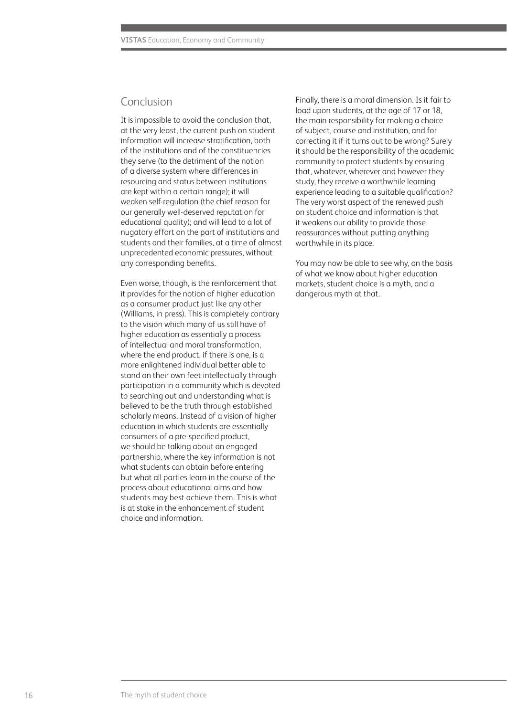## Conclusion

It is impossible to avoid the conclusion that, at the very least, the current push on student information will increase stratification, both of the institutions and of the constituencies they serve (to the detriment of the notion of a diverse system where differences in resourcing and status between institutions are kept within a certain range); it will weaken self-regulation (the chief reason for our generally well-deserved reputation for educational quality); and will lead to a lot of nugatory effort on the part of institutions and students and their families, at a time of almost unprecedented economic pressures, without any corresponding benefits.

Even worse, though, is the reinforcement that it provides for the notion of higher education as a consumer product just like any other (Williams, in press). This is completely contrary to the vision which many of us still have of higher education as essentially a process of intellectual and moral transformation, where the end product, if there is one, is a more enlightened individual better able to stand on their own feet intellectually through participation in a community which is devoted to searching out and understanding what is believed to be the truth through established scholarly means. Instead of a vision of higher education in which students are essentially consumers of a pre-specified product, we should be talking about an engaged partnership, where the key information is not what students can obtain before entering but what all parties learn in the course of the process about educational aims and how students may best achieve them. This is what is at stake in the enhancement of student choice and information.

Finally, there is a moral dimension. Is it fair to load upon students, at the age of 17 or 18, the main responsibility for making a choice of subject, course and institution, and for correcting it if it turns out to be wrong? Surely it should be the responsibility of the academic community to protect students by ensuring that, whatever, wherever and however they study, they receive a worthwhile learning experience leading to a suitable qualification? The very worst aspect of the renewed push on student choice and information is that it weakens our ability to provide those reassurances without putting anything worthwhile in its place.

You may now be able to see why, on the basis of what we know about higher education markets, student choice is a myth, and a dangerous myth at that.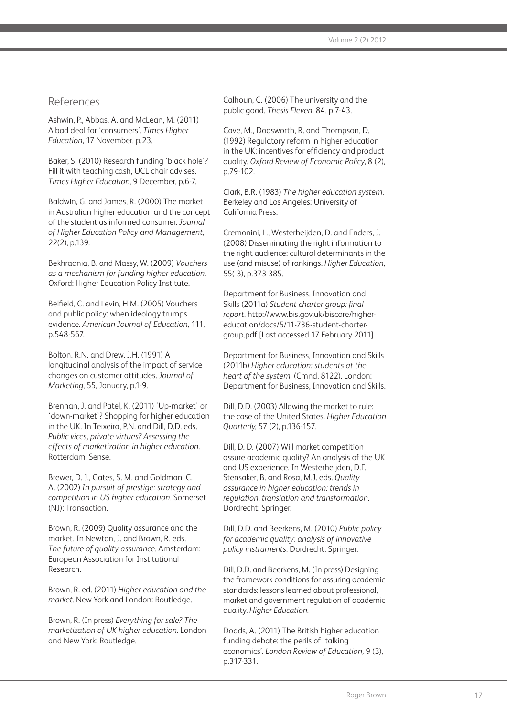## References

Ashwin, P., Abbas, A. and McLean, M. (2011) A bad deal for 'consumers'. *Times Higher Education,* 17 November, p.23.

Baker, S. (2010) Research funding 'black hole'? Fill it with teaching cash, UCL chair advises. *Times Higher Education*, 9 December, p.6-7.

Baldwin, G. and James, R. (2000) The market in Australian higher education and the concept of the student as informed consumer. *Journal of Higher Education Policy and Management,*  22(2), p.139.

Bekhradnia, B. and Massy, W. (2009) *Vouchers as a mechanism for funding higher education.* Oxford: Higher Education Policy Institute.

Belfield, C. and Levin, H.M. (2005) Vouchers and public policy: when ideology trumps evidence. *American Journal of Education,* 111, p.548-567.

Bolton, R.N. and Drew, J.H. (1991) A longitudinal analysis of the impact of service changes on customer attitudes. *Journal of Marketing*, 55, January, p.1-9.

Brennan, J. and Patel, K. (2011) 'Up-market' or 'down-market'? Shopping for higher education in the UK. In Teixeira, P.N. and Dill, D.D. eds. *Public vices, private virtues? Assessing the effects of marketization in higher education.*  Rotterdam: Sense.

Brewer, D. J., Gates, S. M. and Goldman, C. A. (2002) *In pursuit of prestige: strategy and competition in US higher education.* Somerset (NJ): Transaction.

Brown, R. (2009) Quality assurance and the market. In Newton, J. and Brown, R. eds. *The future of quality assurance.* Amsterdam: European Association for Institutional Research.

Brown, R. ed. (2011) *Higher education and the market.* New York and London: Routledge.

Brown, R. (In press) *Everything for sale? The marketization of UK higher education.* London and New York: Routledge.

Calhoun, C. (2006) The university and the public good. *Thesis Eleven,* 84, p.7-43.

Cave, M., Dodsworth, R. and Thompson, D. (1992) Regulatory reform in higher education in the UK: incentives for efficiency and product quality. *Oxford Review of Economic Policy,* 8 (2), p.79-102.

Clark, B.R. (1983) *The higher education system.* Berkeley and Los Angeles: University of California Press.

Cremonini, L., Westerheijden, D. and Enders, J. (2008) Disseminating the right information to the right audience: cultural determinants in the use (and misuse) of rankings. *Higher Education,*  55( 3), p.373-385.

Department for Business, Innovation and Skills (2011a) *Student charter group: final report.* http://www.bis.gov.uk/biscore/highereducation/docs/5/11-736-student-chartergroup.pdf [Last accessed 17 February 2011]

Department for Business, Innovation and Skills (2011b) *Higher education: students at the heart of the system.* (Cmnd. 8122). London: Department for Business, Innovation and Skills.

Dill, D.D. (2003) Allowing the market to rule: the case of the United States*. Higher Education Quarterly*, 57 (2), p.136-157.

Dill, D. D. (2007) Will market competition assure academic quality? An analysis of the UK and US experience. In Westerheijden, D.F., Stensaker, B. and Rosa, M.J. eds. *Quality assurance in higher education: trends in regulation, translation and transformation*. Dordrecht: Springer.

Dill, D.D. and Beerkens, M. (2010) *Public policy for academic quality: analysis of innovative policy instruments.* Dordrecht: Springer.

Dill, D.D. and Beerkens, M. (In press) Designing the framework conditions for assuring academic standards: lessons learned about professional, market and government regulation of academic quality. *Higher Education.*

Dodds, A. (2011) The British higher education funding debate: the perils of 'talking economics'. *London Review of Education,* 9 (3), p.317-331.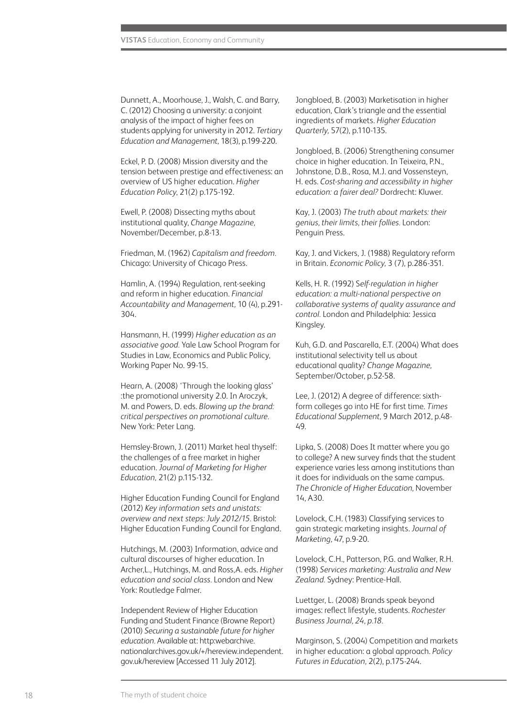Dunnett, A., Moorhouse, J., Walsh, C. and Barry, C. (2012) Choosing a university: a conjoint analysis of the impact of higher fees on students applying for university in 2012. *Tertiary Education and Management,* 18(3), p.199-220.

Eckel, P. D. (2008) Mission diversity and the tension between prestige and effectiveness: an overview of US higher education. *Higher Education Policy*, 21(2) p.175-192.

Ewell, P. (2008) Dissecting myths about institutional quality, *Change Magazine,*  November/December, p.8-13.

Friedman, M. (1962) *Capitalism and freedom.*  Chicago: University of Chicago Press.

Hamlin, A. (1994) Regulation, rent-seeking and reform in higher education. *Financial Accountability and Management,* 10 (4), p.291- 304.

Hansmann, H. (1999) *Higher education as an associative good.* Yale Law School Program for Studies in Law, Economics and Public Policy, Working Paper No. 99-15.

Hearn, A. (2008) 'Through the looking glass' :the promotional university 2.0. In Aroczyk, M. and Powers, D. eds. *Blowing up the brand: critical perspectives on promotional culture.*  New York: Peter Lang.

Hemsley-Brown, J. (2011) Market heal thyself: the challenges of a free market in higher education. *Journal of Marketing for Higher Education,* 21(2) p.115-132.

Higher Education Funding Council for England (2012) *Key information sets and unistats: overview and next steps: July 2012/15.* Bristol: Higher Education Funding Council for England.

Hutchings, M. (2003) Information, advice and cultural discourses of higher education. In Archer,L., Hutchings, M. and Ross,A. eds. *Higher education and social class.* London and New York: Routledge Falmer.

Independent Review of Higher Education Funding and Student Finance (Browne Report) (2010) *Securing a sustainable future for higher education.* Available at: http:webarchive. nationalarchives.gov.uk/+/hereview.independent. gov.uk/hereview [Accessed 11 July 2012].

Jongbloed, B. (2003) Marketisation in higher education, Clark's triangle and the essential ingredients of markets. *Higher Education Quarterly,* 57(2), p.110-135.

Jongbloed, B. (2006) Strengthening consumer choice in higher education. In Teixeira, P.N., Johnstone, D.B., Rosa, M.J. and Vossensteyn, H. eds. *Cost-sharing and accessibility in higher education: a fairer deal?* Dordrecht: Kluwer.

Kay, J. (2003) *The truth about markets: their genius, their limits, their follies.* London: Penguin Press.

Kay, J. and Vickers, J. (1988) Regulatory reform in Britain. *Economic Policy,* 3 (7), p.286-351.

Kells, H. R. (1992) S*elf-regulation in higher education: a multi-national perspective on collaborative systems of quality assurance and control.* London and Philadelphia: Jessica Kingsley.

Kuh, G.D. and Pascarella, E.T. (2004) What does institutional selectivity tell us about educational quality? *Change Magazine,*  September/October, p.52-58.

Lee, J. (2012) A degree of difference: sixthform colleges go into HE for first time. *Times Educational Supplement,* 9 March 2012, p.48- 49.

Lipka, S. (2008) Does It matter where you go to college? A new survey finds that the student experience varies less among institutions than it does for individuals on the same campus. *The Chronicle of Higher Education*, November 14, A30.

Lovelock, C.H. (1983) Classifying services to gain strategic marketing insights. *Journal of Marketing,* 47, p.9-20.

Lovelock, C.H., Patterson, P.G. and Walker, R.H. (1998) *Services marketing: Australia and New Zealand.* Sydney: Prentice-Hall.

Luettger, L. (2008) Brands speak beyond images: reflect lifestyle, students. *Rochester Business Journal, 24, p.18.*

Marginson, S. (2004) Competition and markets in higher education: a global approach. *Policy Futures in Education,* 2(2), p.175-244.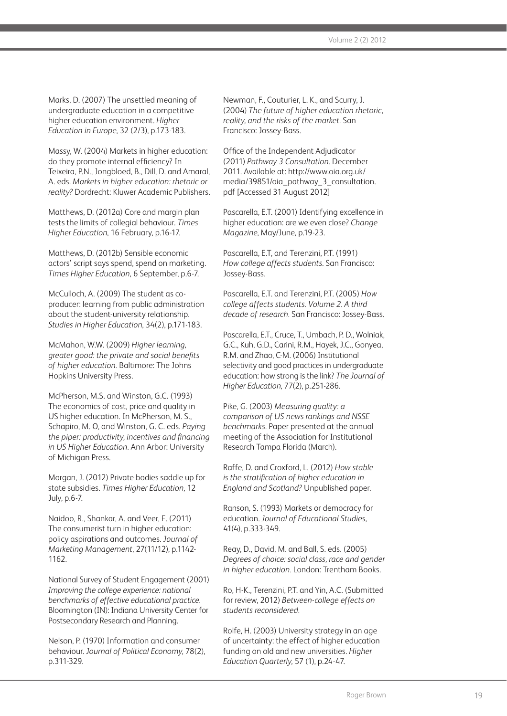Marks, D. (2007) The unsettled meaning of undergraduate education in a competitive higher education environment. *Higher Education in Europe*, 32 (2/3), p.173-183.

Massy, W. (2004) Markets in higher education: do they promote internal efficiency? In Teixeira, P.N., Jongbloed, B., Dill, D. and Amaral, A. eds. *Markets in higher education: rhetoric or reality?* Dordrecht: Kluwer Academic Publishers.

Matthews, D. (2012a) Core and margin plan tests the limits of collegial behaviour. *Times Higher Education*, 16 February, p.16-17.

Matthews, D. (2012b) Sensible economic actors' script says spend, spend on marketing. *Times Higher Education,* 6 September, p.6-7.

McCulloch, A. (2009) The student as coproducer: learning from public administration about the student-university relationship. *Studies in Higher Education*, 34(2), p.171-183.

McMahon, W.W. (2009) *Higher learning, greater good: the private and social benefits of higher education.* Baltimore: The Johns Hopkins University Press.

McPherson, M.S. and Winston, G.C. (1993) The economics of cost, price and quality in US higher education. In McPherson, M. S., Schapiro, M. O, and Winston, G. C. eds. *Paying the piper: productivity, incentives and financing in US Higher Education.* Ann Arbor: University of Michigan Press.

Morgan, J. (2012) Private bodies saddle up for state subsidies. *Times Higher Education,* 12 July, p.6-7.

Naidoo, R., Shankar, A. and Veer, E. (2011) The consumerist turn in higher education: policy aspirations and outcomes. *Journal of Marketing Management*, 27(11/12), p.1142- 1162.

National Survey of Student Engagement (2001) *Improving the college experience: national benchmarks of effective educational practice.*  Bloomington (IN): Indiana University Center for Postsecondary Research and Planning.

Nelson, P. (1970) Information and consumer behaviour. *Journal of Political Economy,* 78(2), p.311-329.

Newman, F., Couturier, L. K., and Scurry, J. (2004) *The future of higher education rhetoric, reality, and the risks of the market.* San Francisco: Jossey-Bass.

Office of the Independent Adjudicator (2011) *Pathway 3 Consultation.* December 2011. Available at: http://www.oia.org.uk/ media/39851/oia\_pathway\_3\_consultation. pdf [Accessed 31 August 2012]

Pascarella, E.T. (2001) Identifying excellence in higher education: are we even close? *Change Magazine*, May/June, p.19-23.

Pascarella, E.T, and Terenzini, P.T. (1991) *How college affects students*. San Francisco: Jossey-Bass.

Pascarella, E.T. and Terenzini, P.T. (2005) *How college affects students. Volume 2. A third decade of research.* San Francisco: Jossey-Bass.

Pascarella, E.T., Cruce, T., Umbach, P. D., Wolniak, G.C., Kuh, G.D., Carini, R.M., Hayek, J.C., Gonyea, R.M. and Zhao, C-M. (2006) Institutional selectivity and good practices in undergraduate education: how strong is the link? *The Journal of Higher Education*, 77(2), p.251-286.

Pike, G. (2003) *Measuring quality: a comparison of US news rankings and NSSE benchmarks.* Paper presented at the annual meeting of the Association for Institutional Research Tampa Florida (March).

Raffe, D. and Croxford, L. (2012) *How stable is the stratification of higher education in England and Scotland?* Unpublished paper.

Ranson, S. (1993) Markets or democracy for education. *Journal of Educational Studies,*  41(4), p.333-349.

Reay, D., David, M. and Ball, S. eds. (2005) *Degrees of choice: social class, race and gender in higher education.* London: Trentham Books.

Ro, H-K., Terenzini, P.T. and Yin, A.C. (Submitted for review, 2012) *Between-college effects on students reconsidered.*

Rolfe, H. (2003) University strategy in an age of uncertainty: the effect of higher education funding on old and new universities. *Higher Education Quarterly,* 57 (1), p.24-47.